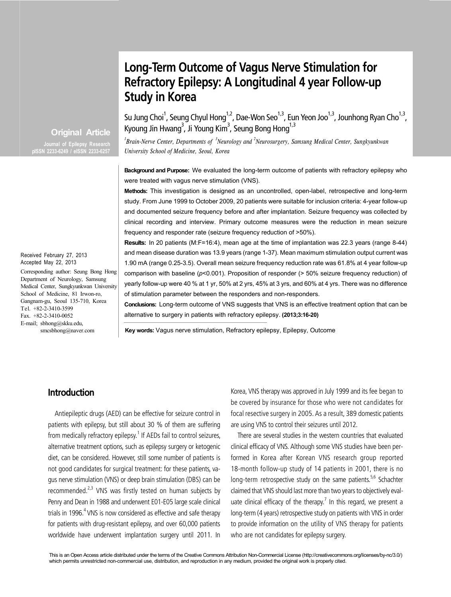# **Long-Term Outcome of Vagus Nerve Stimulation for Refractory Epilepsy: A Longitudinal 4 year Follow-up Study in Korea**

Su Jung Choi<sup>1</sup>, Seung Chyul Hong<sup>1,2</sup>, Dae-Won Seo<sup>1,3</sup>, Eun Yeon Joo<sup>1,3</sup>, Jounhong Ryan Cho<sup>1,3</sup>, Kyoung Jin Hwang<sup>3</sup>, Ji Young Kim<sup>3</sup>, Seung Bong Hong<sup>1,3</sup>

<sup>*1</sup>*Brain-Nerve Center, Departments of <sup>3</sup>Neurology and <sup>2</sup>Neurosurgery, Samsung Medical Center, Sungkyunkwan</sup> *University School of Medicine, Seoul, Korea*

**Background and Purpose:** We evaluated the long-term outcome of patients with refractory epilepsy who were treated with vagus nerve stimulation (VNS).

**Methods:** This investigation is designed as an uncontrolled, open-label, retrospective and long-term study. From June 1999 to October 2009, 20 patients were suitable for inclusion criteria: 4-year follow-up and documented seizure frequency before and after implantation. Seizure frequency was collected by clinical recording and interview. Primary outcome measures were the reduction in mean seizure frequency and responder rate (seizure frequency reduction of >50%).

**Results:** In 20 patients (M:F=16:4), mean age at the time of implantation was 22.3 years (range 8-44) and mean disease duration was 13.9 years (range 1-37). Mean maximum stimulation output current was 1.90 mA (range 0.25-3.5). Overall mean seizure frequency reduction rate was 61.8% at 4 year follow-up comparison with baseline ( $p$ <0.001). Proposition of responder (> 50% seizure frequency reduction) of yearly follow-up were 40 % at 1 yr, 50% at 2 yrs, 45% at 3 yrs, and 60% at 4 yrs. There was no difference of stimulation parameter between the responders and non-responders.

**Conclusions:** Long-term outcome of VNS suggests that VNS is an effective treatment option that can be alternative to surgery in patients with refractory epilepsy. **(2013;3:16-20)**

**Key words:** Vagus nerve stimulation, Refractory epilepsy, Epilepsy, Outcome

## **Introduction**

Antiepileptic drugs (AED) can be effective for seizure control in patients with epilepsy, but still about 30 % of them are suffering from medically refractory epilepsy.<sup>1</sup> If AEDs fail to control seizures, alternative treatment options, such as epilepsy surgery or ketogenic diet, can be considered. However, still some number of patients is not good candidates for surgical treatment: for these patients, vagus nerve stimulation (VNS) or deep brain stimulation (DBS) can be recommended. $2,3$  VNS was firstly tested on human subjects by Penry and Dean in 1988 and underwent E01-E05 large scale clinical trials in 1996. $4$  VNS is now considered as effective and safe therapy for patients with drug-resistant epilepsy, and over 60,000 patients worldwide have underwent implantation surgery until 2011. In

Korea, VNS therapy was approved in July 1999 and its fee began to be covered by insurance for those who were not candidates for focal resective surgery in 2005. As a result, 389 domestic patients are using VNS to control their seizures until 2012.

There are several studies in the western countries that evaluated clinical efficacy of VNS. Although some VNS studies have been performed in Korea after Korean VNS research group reported 18-month follow-up study of 14 patients in 2001, there is no long-term retrospective study on the same patients.<sup>5,6</sup> Schachter claimed that VNS should last more than two years to objectively evaluate clinical efficacy of the therapy.<sup>7</sup> In this regard, we present a long-term (4 years) retrospective study on patients with VNS in order to provide information on the utility of VNS therapy for patients who are not candidates for epilepsy surgery.

Received February 27, 2013 Accepted May 22, 2013

**Original Article Journal of Epilepsy Research pISSN 2233-6249 / eISSN 2233-6257**

Corresponding author: Seung Bong Hong Department of Neurology, Samsung Medical Center, Sungkyunkwan University School of Medicine, 81 Irwon-ro, Gangnam-gu, Seoul 135-710, Korea Tel. +82-2-3410-3599 Fax. +82-2-3410-0052 E-mail; sbhong@skku.edu, smcsbhong@naver.com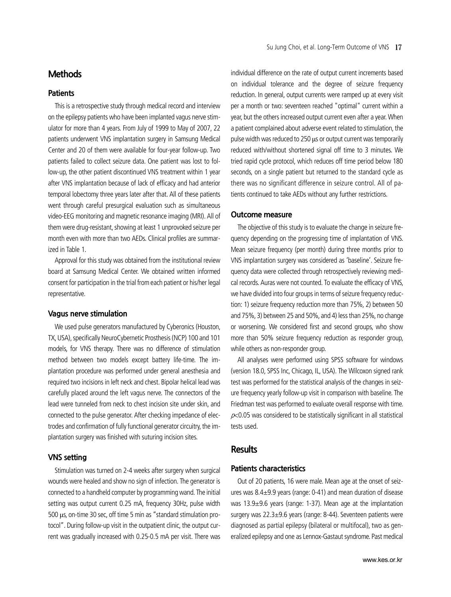## **Methods**

#### **Patients**

This is a retrospective study through medical record and interview on the epilepsy patients who have been implanted vagus nerve stimulator for more than 4 years. From July of 1999 to May of 2007, 22 patients underwent VNS implantation surgery in Samsung Medical Center and 20 of them were available for four-year follow-up. Two patients failed to collect seizure data. One patient was lost to follow-up, the other patient discontinued VNS treatment within 1 year after VNS implantation because of lack of efficacy and had anterior temporal lobectomy three years later after that. All of these patients went through careful presurgical evaluation such as simultaneous video-EEG monitoring and magnetic resonance imaging (MRI). All of them were drug-resistant, showing at least 1 unprovoked seizure per month even with more than two AEDs. Clinical profiles are summarized in Table 1.

Approval for this study was obtained from the institutional review board at Samsung Medical Center. We obtained written informed consent for participation in the trial from each patient or his/her legal representative.

#### **Vagus nerve stimulation**

We used pulse generators manufactured by Cyberonics (Houston, TX, USA), specifically NeuroCybernetic Prosthesis (NCP) 100 and 101 models, for VNS therapy. There was no difference of stimulation method between two models except battery life-time. The implantation procedure was performed under general anesthesia and required two incisions in left neck and chest. Bipolar helical lead was carefully placed around the left vagus nerve. The connectors of the lead were tunneled from neck to chest incision site under skin, and connected to the pulse generator. After checking impedance of electrodes and confirmation of fully functional generator circuitry, the implantation surgery was finished with suturing incision sites.

#### **VNS setting**

Stimulation was turned on 2-4 weeks after surgery when surgical wounds were healed and show no sign of infection. The generator is connected to a handheld computer by programming wand. The initial setting was output current 0.25 mA, frequency 30Hz, pulse width 500 μs, on-time 30 sec, off time 5 min as "standard stimulation protocol". During follow-up visit in the outpatient clinic, the output current was gradually increased with 0.25-0.5 mA per visit. There was individual difference on the rate of output current increments based on individual tolerance and the degree of seizure frequency reduction. In general, output currents were ramped up at every visit per a month or two: seventeen reached "optimal" current within a year, but the others increased output current even after a year. When a patient complained about adverse event related to stimulation, the pulse width was reduced to 250 μs or output current was temporarily reduced with/without shortened signal off time to 3 minutes. We tried rapid cycle protocol, which reduces off time period below 180 seconds, on a single patient but returned to the standard cycle as there was no significant difference in seizure control. All of patients continued to take AEDs without any further restrictions.

#### **Outcome measure**

The objective of this study is to evaluate the change in seizure frequency depending on the progressing time of implantation of VNS. Mean seizure frequency (per month) during three months prior to VNS implantation surgery was considered as 'baseline'. Seizure frequency data were collected through retrospectively reviewing medical records. Auras were not counted. To evaluate the efficacy of VNS, we have divided into four groups in terms of seizure frequency reduction: 1) seizure frequency reduction more than 75%, 2) between 50 and 75%, 3) between 25 and 50%, and 4) less than 25%, no change or worsening. We considered first and second groups, who show more than 50% seizure frequency reduction as responder group, while others as non-responder group.

All analyses were performed using SPSS software for windows (version 18.0, SPSS Inc, Chicago, IL, USA). The Wilcoxon signed rank test was performed for the statistical analysis of the changes in seizure frequency yearly follow-up visit in comparison with baseline. The Friedman test was performed to evaluate overall response with time.  $p$ <0.05 was considered to be statistically significant in all statistical tests used.

# **Results**

#### **Patients characteristics**

Out of 20 patients, 16 were male. Mean age at the onset of seizures was 8.4±9.9 years (range: 0-41) and mean duration of disease was 13.9±9.6 years (range: 1-37). Mean age at the implantation surgery was 22.3±9.6 years (range: 8-44). Seventeen patients were diagnosed as partial epilepsy (bilateral or multifocal), two as generalized epilepsy and one as Lennox-Gastaut syndrome. Past medical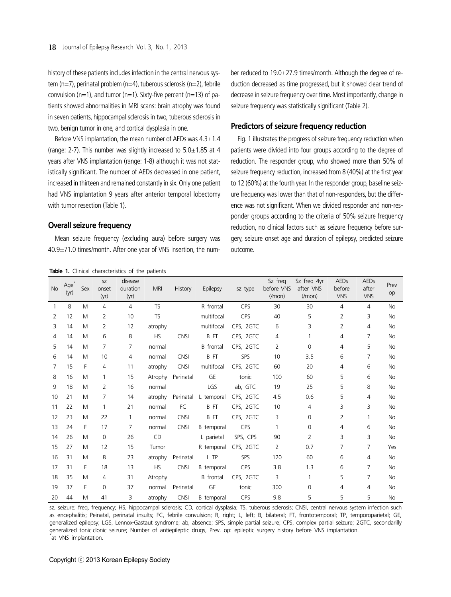history of these patients includes infection in the central nervous system (n=7), perinatal problem (n=4), tuberous sclerosis (n=2), febrile convulsion (n=1), and tumor (n=1). Sixty-five percent (n=13) of patients showed abnormalities in MRI scans: brain atrophy was found in seven patients, hippocampal sclerosis in two, tuberous sclerosis in two, benign tumor in one, and cortical dysplasia in one.

Before VNS implantation, the mean number of AEDs was  $4.3 \pm 1.4$ (range: 2-7). This number was slightly increased to  $5.0\pm1.85$  at 4 years after VNS implantation (range: 1-8) although it was not statistically significant. The number of AEDs decreased in one patient, increased in thirteen and remained constantly in six. Only one patient had VNS implantation 9 years after anterior temporal lobectomy with tumor resection (Table 1).

#### **Overall seizure frequency**

Mean seizure frequency (excluding aura) before surgery was 40.9±71.0 times/month. After one year of VNS insertion, the number reduced to 19.0±27.9 times/month. Although the degree of reduction decreased as time progressed, but it showed clear trend of decrease in seizure frequency over time. Most importantly, change in seizure frequency was statistically significant (Table 2).

#### **Predictors of seizure frequency reduction**

Fig. 1 illustrates the progress of seizure frequency reduction when patients were divided into four groups according to the degree of reduction. The responder group, who showed more than 50% of seizure frequency reduction, increased from 8 (40%) at the first year to 12 (60%) at the fourth year. In the responder group, baseline seizure frequency was lower than that of non-responders, but the difference was not significant. When we divided responder and non-responder groups according to the criteria of 50% seizure frequency reduction, no clinical factors such as seizure frequency before surgery, seizure onset age and duration of epilepsy, predicted seizure outcome.

| <b>No</b> | Age<br>(yr)                                                                                                                                       | Sex | <b>SZ</b><br>onset<br>(yr) | disease<br>duration<br>(yr) | <b>MRI</b> | History     | Epilepsy         | sz type   | Sz freg<br>before VNS<br>(/mon) | Sz freq 4yr<br>after VNS<br>(/mon) | <b>AEDs</b><br>before<br><b>VNS</b> | <b>AEDs</b><br>after<br><b>VNS</b> | Prev<br>op |
|-----------|---------------------------------------------------------------------------------------------------------------------------------------------------|-----|----------------------------|-----------------------------|------------|-------------|------------------|-----------|---------------------------------|------------------------------------|-------------------------------------|------------------------------------|------------|
|           | 8                                                                                                                                                 | M   | 4                          | 4                           | <b>TS</b>  |             | R frontal        | CPS       | 30                              | 30                                 | 4                                   | 4                                  | <b>No</b>  |
| 2         | 12                                                                                                                                                | M   | 2                          | 10                          | <b>TS</b>  |             | multifocal       | CPS       | 40                              | 5                                  | 2                                   | 3                                  | <b>No</b>  |
| 3         | 14                                                                                                                                                | M   | 2                          | 12                          | atrophy    |             | multifocal       | CPS, 2GTC | 6                               | 3                                  | $\overline{2}$                      | 4                                  | <b>No</b>  |
| 4         | 14                                                                                                                                                | M   | 6                          | 8                           | <b>HS</b>  | <b>CNSI</b> | B FT             | CPS, 2GTC | 4                               |                                    | 4                                   | 7                                  | <b>No</b>  |
| 5         | 14                                                                                                                                                | M   | 7                          | 7                           | normal     |             | <b>B</b> frontal | CPS, 2GTC | 2                               | 0                                  | 4                                   | 5                                  | <b>No</b>  |
| 6         | 14                                                                                                                                                | M   | 10                         | 4                           | normal     | <b>CNSI</b> | B FT             | SPS       | 10                              | 3.5                                | 6                                   | 7                                  | <b>No</b>  |
| 7         | 15                                                                                                                                                | F   | 4                          | 11                          | atrophy    | <b>CNSI</b> | multifocal       | CPS, 2GTC | 60                              | 20                                 | 4                                   | 6                                  | <b>No</b>  |
| 8         | 16                                                                                                                                                | M   | 1                          | 15                          | Atrophy    | Perinatal   | <b>GE</b>        | tonic     | 100                             | 60                                 | 5                                   | 6                                  | <b>No</b>  |
| 9         | 18                                                                                                                                                | M   | 2                          | 16                          | normal     |             | LGS              | ab, GTC   | 19                              | 25                                 | 5                                   | 8                                  | <b>No</b>  |
| 10        | 21                                                                                                                                                | M   | 7                          | 14                          | atrophy    | Perinatal   | L temporal       | CPS, 2GTC | 4.5                             | 0.6                                | 5                                   | 4                                  | <b>No</b>  |
| 11        | 22                                                                                                                                                | M   | 1                          | 21                          | normal     | FC          | B FT             | CPS, 2GTC | 10                              | 4                                  | 3                                   | 3                                  | <b>No</b>  |
| 12        | 23                                                                                                                                                | M   | 22                         | $\mathbf{1}$                | normal     | <b>CNSI</b> | B FT             | CPS, 2GTC | 3                               | 0                                  | 2                                   |                                    | <b>No</b>  |
| 13        | 24                                                                                                                                                | F   | 17                         | 7                           | normal     | <b>CNSI</b> | B temporal       | CPS       | 1                               | 0                                  | 4                                   | 6                                  | <b>No</b>  |
| 14        | 26                                                                                                                                                | M   | 0                          | 26                          | CD         |             | L parietal       | SPS, CPS  | 90                              | 2                                  | 3                                   | 3                                  | <b>No</b>  |
| 15        | 27                                                                                                                                                | M   | 12                         | 15                          | Tumor      |             | R temporal       | CPS, 2GTC | 2                               | 0.7                                | 7                                   | 7                                  | Yes        |
| 16        | 31                                                                                                                                                | M   | 8                          | 23                          | atrophy    | Perinatal   | L TP             | SPS       | 120                             | 60                                 | 6                                   | 4                                  | <b>No</b>  |
| 17        | 31                                                                                                                                                | F   | 18                         | 13                          | <b>HS</b>  | <b>CNSI</b> | B temporal       | CPS       | 3.8                             | 1.3                                | 6                                   | 7                                  | <b>No</b>  |
| 18        | 35                                                                                                                                                | M   | 4                          | 31                          | Atrophy    |             | <b>B</b> frontal | CPS, 2GTC | 3                               |                                    | 5                                   | 7                                  | <b>No</b>  |
| 19        | 37                                                                                                                                                | F   | 0                          | 37                          | normal     | Perinatal   | <b>GE</b>        | tonic     | 300                             | 0                                  | 4                                   | 4                                  | <b>No</b>  |
| 20        | 44                                                                                                                                                | M   | 41                         | 3                           | atrophy    | <b>CNSI</b> | B temporal       | CPS       | 9.8                             | 5                                  | 5                                   | 5                                  | No         |
|           | ez enizura: frontana troquanar HS hinnocampal eclaracie: CD cortical dyenlasia: TS tuborous eclaracie: CNSL contral nanvous system infaction such |     |                            |                             |            |             |                  |           |                                 |                                    |                                     |                                    |            |

**Table 1.** Clinical characteristics of the patients

sz, seizure; freq, frequency; HS, hippocampal sclerosis; CD, cortical dysplasia; TS, tuberous sclerosis; CNSI, central nervous system infection such as encephalitis; Peinatal, perinatal insults; FC, febrile convulsion; R, right; L, left; B, bilateral; FT, frontotemporal; TP, temporoparietal; GE, generalized epilepsy; LGS, Lennox‐Gastaut syndrome; ab, absence; SPS, simple partial seizure; CPS, complex partial seizure; 2GTC, secondarilly generalized tonic‐clonic seizure; Number of antiepileptic drugs, Prev. op: epileptic surgery history before VNS implantation. \*at VNS implantation.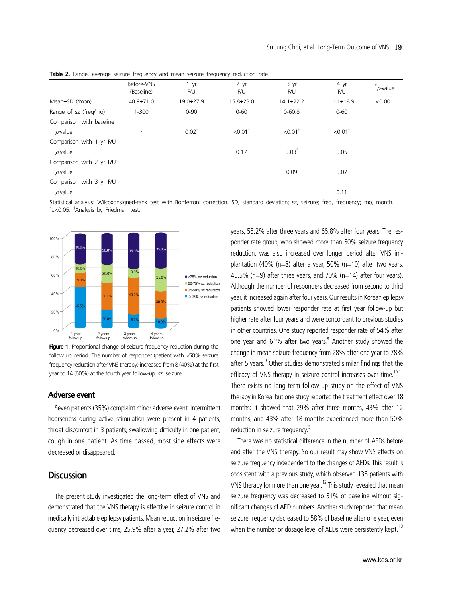|                          | Before-VNS               | 1 yr             | $2 \text{ yr}$        | 3 yr                     | 4 yr             | p-value |  |
|--------------------------|--------------------------|------------------|-----------------------|--------------------------|------------------|---------|--|
|                          | (Baseline)               | F/U              | F/U                   | F/U                      | F/U              |         |  |
| Mean $\pm$ SD (/mon)     | $40.9 + 71.0$            | 19.0±27.9        | $15.8 \pm 23.0$       | $14.1 \pm 22.2$          | $11.1 \pm 18.9$  | < 0.001 |  |
| Range of sz (freg/mo)    | $1 - 300$                | $0 - 90$         | $0 - 60$              | $0 - 60.8$               | $0 - 60$         |         |  |
| Comparison with baseline |                          |                  |                       |                          |                  |         |  |
| $p$ value                |                          | $0.02^{\dagger}$ | $< 0.01$ <sup>†</sup> | $< 0.01^{\dagger}$       | $< 0.01^\dagger$ |         |  |
| Comparison with 1 yr F/U |                          |                  |                       |                          |                  |         |  |
| $p$ value                | $\overline{\phantom{0}}$ | -                | 0.17                  | $0.03^{\dagger}$         | 0.05             |         |  |
| Comparison with 2 yr F/U |                          |                  |                       |                          |                  |         |  |
| $p$ value                |                          |                  |                       | 0.09                     | 0.07             |         |  |
| Comparison with 3 yr F/U |                          |                  |                       |                          |                  |         |  |
| $p$ value                |                          |                  |                       | $\overline{\phantom{a}}$ | 0.11             |         |  |

**Table 2.** Range, average seizure frequency and mean seizure frequency reduction rate

Statistical analysis: Wilcoxonsigned-rank test with Bonferroni correction. SD, standard deviation; sz, seizure; freq, frequency; mo, month.  $\sqrt{\varepsilon}$  p<0.05. <sup>†</sup>Analysis by Friedman test.



**Figure 1.** Proportional change of seizure frequency reduction during the follow up period. The number of responder (patient with >50% seizure frequency reduction after VNS therapy) increased from 8 (40%) at the first year to 14 (60%) at the fourth year follow-up. sz, seizure.

#### **Adverse event**

Seven patients (35%) complaint minor adverse event. Intermittent hoarseness during active stimulation were present in 4 patients, throat discomfort in 3 patients, swallowing difficulty in one patient, cough in one patient. As time passed, most side effects were decreased or disappeared.

## **Discussion**

The present study investigated the long-term effect of VNS and demonstrated that the VNS therapy is effective in seizure control in medically intractable epilepsy patients. Mean reduction in seizure frequency decreased over time, 25.9% after a year, 27.2% after two years, 55.2% after three years and 65.8% after four years. The responder rate group, who showed more than 50% seizure frequency reduction, was also increased over longer period after VNS implantation (40% (n=8) after a year, 50% (n=10) after two years, 45.5% ( $n=9$ ) after three years, and 70% ( $n=14$ ) after four years). Although the number of responders decreased from second to third year, it increased again after four years. Our results in Korean epilepsy patients showed lower responder rate at first year follow-up but higher rate after four years and were concordant to previous studies in other countries. One study reported responder rate of 54% after one year and 61% after two years.<sup>8</sup> Another study showed the change in mean seizure frequency from 28% after one year to 78% after 5 years.<sup>9</sup> Other studies demonstrated similar findings that the efficacy of VNS therapy in seizure control increases over time.<sup>10,11</sup> There exists no long-term follow-up study on the effect of VNS therapy in Korea, but one study reported the treatment effect over 18 months: it showed that 29% after three months, 43% after 12 months, and 43% after 18 months experienced more than 50% reduction in seizure frequency.<sup>5</sup>

There was no statistical difference in the number of AEDs before and after the VNS therapy. So our result may show VNS effects on seizure frequency independent to the changes of AEDs. This result is consistent with a previous study, which observed 138 patients with VNS therapy for more than one year.<sup>12</sup> This study revealed that mean seizure frequency was decreased to 51% of baseline without significant changes of AED numbers. Another study reported that mean seizure frequency decreased to 58% of baseline after one year, even when the number or dosage level of AEDs were persistently kept.<sup>13</sup>